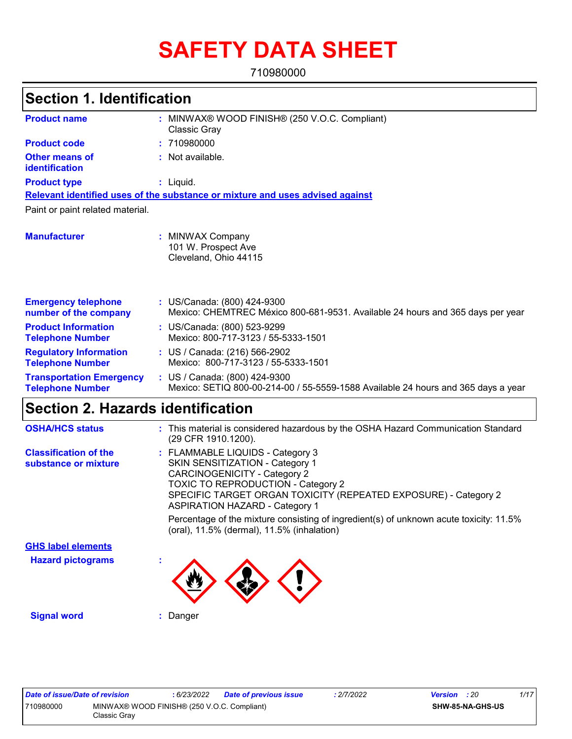# **SAFETY DATA SHEET**

710980000

#### MINWAX® WOOD FINISH® (250 V.O.C. Compliant) **:** Classic Gray Not available. **:** Liquid. **:** US/Canada: (800) 424-9300 **:** Mexico: CHEMTREC México 800-681-9531. Available 24 hours and 365 days per year **Product name Other means of identification Product type Emergency telephone number of the company Section 1. Identification Manufacturer :** MINWAX Company 101 W. Prospect Ave Cleveland, Ohio 44115 **Relevant identified uses of the substance or mixture and uses advised against** Paint or paint related material. **Product code :** 710980000 **Product Information Telephone Number :** US/Canada: (800) 523-9299 Mexico: 800-717-3123 / 55-5333-1501 **Regulatory Information Telephone Number :** US / Canada: (216) 566-2902 Mexico: 800-717-3123 / 55-5333-1501 **Transportation Emergency Telephone Number :** US / Canada: (800) 424-9300 Mexico: SETIQ 800-00-214-00 / 55-5559-1588 Available 24 hours and 365 days a year

# **Section 2. Hazards identification**

| <b>OSHA/HCS status</b>                               | : This material is considered hazardous by the OSHA Hazard Communication Standard<br>(29 CFR 1910.1200).                                                                                                                                                                   |
|------------------------------------------------------|----------------------------------------------------------------------------------------------------------------------------------------------------------------------------------------------------------------------------------------------------------------------------|
| <b>Classification of the</b><br>substance or mixture | : FLAMMABLE LIQUIDS - Category 3<br><b>SKIN SENSITIZATION - Category 1</b><br><b>CARCINOGENICITY - Category 2</b><br><b>TOXIC TO REPRODUCTION - Category 2</b><br>SPECIFIC TARGET ORGAN TOXICITY (REPEATED EXPOSURE) - Category 2<br><b>ASPIRATION HAZARD - Category 1</b> |
|                                                      | Percentage of the mixture consisting of ingredient(s) of unknown acute toxicity: 11.5%<br>(oral), 11.5% (dermal), 11.5% (inhalation)                                                                                                                                       |
| <b>GHS label elements</b>                            |                                                                                                                                                                                                                                                                            |
| <b>Hazard pictograms</b>                             | ٠                                                                                                                                                                                                                                                                          |
| <b>Signal word</b>                                   | Danger                                                                                                                                                                                                                                                                     |

| Date of issue/Date of revision |                                                             | : 6/23/2022 | Date of previous issue | .2/7/2022 | <b>Version</b> : 20 |                         | 1/17 |  |
|--------------------------------|-------------------------------------------------------------|-------------|------------------------|-----------|---------------------|-------------------------|------|--|
| 710980000                      | MINWAX® WOOD FINISH® (250 V.O.C. Compliant)<br>Classic Gray |             |                        |           |                     | <b>SHW-85-NA-GHS-US</b> |      |  |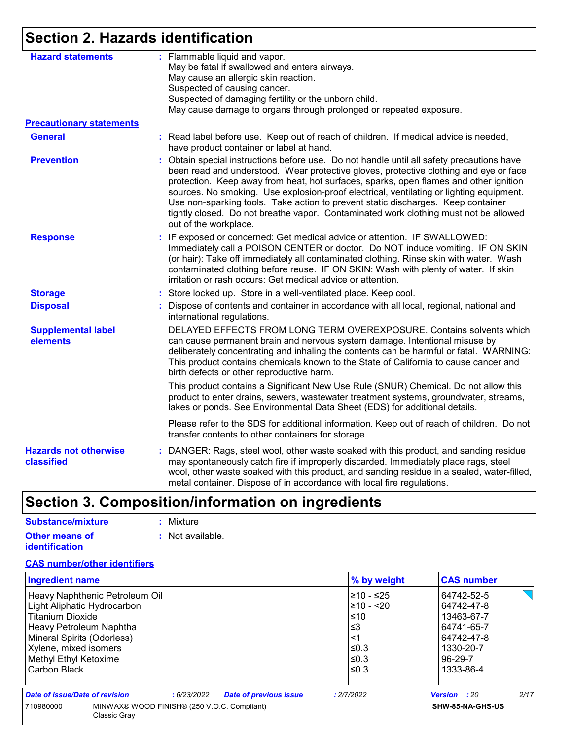### **Section 2. Hazards identification**

| <b>Hazard statements</b>                   |    | : Flammable liquid and vapor.<br>May be fatal if swallowed and enters airways.                                                                                                                                                                                                                                                                                                                                                                                                                                                                                            |
|--------------------------------------------|----|---------------------------------------------------------------------------------------------------------------------------------------------------------------------------------------------------------------------------------------------------------------------------------------------------------------------------------------------------------------------------------------------------------------------------------------------------------------------------------------------------------------------------------------------------------------------------|
|                                            |    | May cause an allergic skin reaction.                                                                                                                                                                                                                                                                                                                                                                                                                                                                                                                                      |
|                                            |    | Suspected of causing cancer.                                                                                                                                                                                                                                                                                                                                                                                                                                                                                                                                              |
|                                            |    | Suspected of damaging fertility or the unborn child.                                                                                                                                                                                                                                                                                                                                                                                                                                                                                                                      |
|                                            |    | May cause damage to organs through prolonged or repeated exposure.                                                                                                                                                                                                                                                                                                                                                                                                                                                                                                        |
| <b>Precautionary statements</b>            |    |                                                                                                                                                                                                                                                                                                                                                                                                                                                                                                                                                                           |
| <b>General</b>                             |    | : Read label before use. Keep out of reach of children. If medical advice is needed,<br>have product container or label at hand.                                                                                                                                                                                                                                                                                                                                                                                                                                          |
| <b>Prevention</b>                          | ÷. | Obtain special instructions before use. Do not handle until all safety precautions have<br>been read and understood. Wear protective gloves, protective clothing and eye or face<br>protection. Keep away from heat, hot surfaces, sparks, open flames and other ignition<br>sources. No smoking. Use explosion-proof electrical, ventilating or lighting equipment.<br>Use non-sparking tools. Take action to prevent static discharges. Keep container<br>tightly closed. Do not breathe vapor. Contaminated work clothing must not be allowed<br>out of the workplace. |
| <b>Response</b>                            |    | : IF exposed or concerned: Get medical advice or attention. IF SWALLOWED:<br>Immediately call a POISON CENTER or doctor. Do NOT induce vomiting. IF ON SKIN<br>(or hair): Take off immediately all contaminated clothing. Rinse skin with water. Wash<br>contaminated clothing before reuse. IF ON SKIN: Wash with plenty of water. If skin<br>irritation or rash occurs: Get medical advice or attention.                                                                                                                                                                |
| <b>Storage</b>                             |    | : Store locked up. Store in a well-ventilated place. Keep cool.                                                                                                                                                                                                                                                                                                                                                                                                                                                                                                           |
| <b>Disposal</b>                            |    | : Dispose of contents and container in accordance with all local, regional, national and<br>international regulations.                                                                                                                                                                                                                                                                                                                                                                                                                                                    |
| <b>Supplemental label</b><br>elements      |    | DELAYED EFFECTS FROM LONG TERM OVEREXPOSURE. Contains solvents which<br>can cause permanent brain and nervous system damage. Intentional misuse by<br>deliberately concentrating and inhaling the contents can be harmful or fatal. WARNING:<br>This product contains chemicals known to the State of California to cause cancer and<br>birth defects or other reproductive harm.                                                                                                                                                                                         |
|                                            |    | This product contains a Significant New Use Rule (SNUR) Chemical. Do not allow this<br>product to enter drains, sewers, wastewater treatment systems, groundwater, streams,<br>lakes or ponds. See Environmental Data Sheet (EDS) for additional details.                                                                                                                                                                                                                                                                                                                 |
|                                            |    | Please refer to the SDS for additional information. Keep out of reach of children. Do not<br>transfer contents to other containers for storage.                                                                                                                                                                                                                                                                                                                                                                                                                           |
| <b>Hazards not otherwise</b><br>classified |    | : DANGER: Rags, steel wool, other waste soaked with this product, and sanding residue<br>may spontaneously catch fire if improperly discarded. Immediately place rags, steel<br>wool, other waste soaked with this product, and sanding residue in a sealed, water-filled,<br>metal container. Dispose of in accordance with local fire regulations.                                                                                                                                                                                                                      |

## **Section 3. Composition/information on ingredients**

| Substance/mixture                              | : Mixture        |
|------------------------------------------------|------------------|
| <b>Other means of</b><br><b>identification</b> | : Not available. |

### **CAS number/other identifiers**

| <b>Ingredient name</b>                                                   |  |            |                               |            | % by weight      | <b>CAS number</b>   |      |
|--------------------------------------------------------------------------|--|------------|-------------------------------|------------|------------------|---------------------|------|
| Heavy Naphthenic Petroleum Oil                                           |  |            |                               |            | 210 - ≤25        | 64742-52-5          |      |
| Light Aliphatic Hydrocarbon                                              |  |            |                               |            | $\geq 10 - 20$   | 64742-47-8          |      |
| <b>Titanium Dioxide</b>                                                  |  |            |                               |            | l≤10             | 13463-67-7          |      |
| Heavy Petroleum Naphtha                                                  |  |            |                               | ∣≤3        |                  | 64741-65-7          |      |
| Mineral Spirits (Odorless)                                               |  |            |                               | $\leq$ 1   |                  | 64742-47-8          |      |
| Xylene, mixed isomers                                                    |  |            |                               | $\leq$ 0.3 | 1330-20-7        |                     |      |
| Methyl Ethyl Ketoxime                                                    |  |            |                               | $\leq$ 0.3 | 96-29-7          |                     |      |
| Carbon Black                                                             |  |            |                               | $\leq$ 0.3 | 1333-86-4        |                     |      |
| Date of issue/Date of revision                                           |  | :6/23/2022 | <b>Date of previous issue</b> | : 2/7/2022 |                  | <b>Version</b> : 20 | 2/17 |
| MINWAX® WOOD FINISH® (250 V.O.C. Compliant)<br>710980000<br>Classic Gray |  |            |                               |            | SHW-85-NA-GHS-US |                     |      |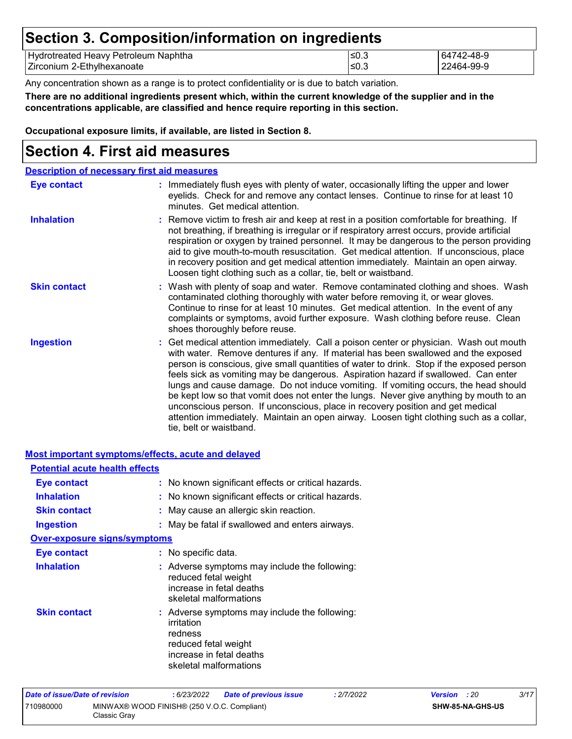### **Section 3. Composition/information on ingredients**

| Hydrotreated Heavy Petroleum<br>Naphtha | $\overline{\phantom{a}}$<br>≥U.J | 2-48-9    |
|-----------------------------------------|----------------------------------|-----------|
| ⊦Zirconium 2-Eth∨lhexanoate             | ≤0.′                             | 2464-99-9 |

Any concentration shown as a range is to protect confidentiality or is due to batch variation.

**There are no additional ingredients present which, within the current knowledge of the supplier and in the concentrations applicable, are classified and hence require reporting in this section.**

**Occupational exposure limits, if available, are listed in Section 8.**

### **Section 4. First aid measures**

| <b>Description of necessary first aid measures</b> |                                                                                                                                                                                                                                                                                                                                                                                                                                                                                                                                                                                                                                                                                                                                                         |
|----------------------------------------------------|---------------------------------------------------------------------------------------------------------------------------------------------------------------------------------------------------------------------------------------------------------------------------------------------------------------------------------------------------------------------------------------------------------------------------------------------------------------------------------------------------------------------------------------------------------------------------------------------------------------------------------------------------------------------------------------------------------------------------------------------------------|
| <b>Eye contact</b>                                 | : Immediately flush eyes with plenty of water, occasionally lifting the upper and lower<br>eyelids. Check for and remove any contact lenses. Continue to rinse for at least 10<br>minutes. Get medical attention.                                                                                                                                                                                                                                                                                                                                                                                                                                                                                                                                       |
| <b>Inhalation</b>                                  | : Remove victim to fresh air and keep at rest in a position comfortable for breathing. If<br>not breathing, if breathing is irregular or if respiratory arrest occurs, provide artificial<br>respiration or oxygen by trained personnel. It may be dangerous to the person providing<br>aid to give mouth-to-mouth resuscitation. Get medical attention. If unconscious, place<br>in recovery position and get medical attention immediately. Maintain an open airway.<br>Loosen tight clothing such as a collar, tie, belt or waistband.                                                                                                                                                                                                               |
| <b>Skin contact</b>                                | : Wash with plenty of soap and water. Remove contaminated clothing and shoes. Wash<br>contaminated clothing thoroughly with water before removing it, or wear gloves.<br>Continue to rinse for at least 10 minutes. Get medical attention. In the event of any<br>complaints or symptoms, avoid further exposure. Wash clothing before reuse. Clean<br>shoes thoroughly before reuse.                                                                                                                                                                                                                                                                                                                                                                   |
| <b>Ingestion</b>                                   | : Get medical attention immediately. Call a poison center or physician. Wash out mouth<br>with water. Remove dentures if any. If material has been swallowed and the exposed<br>person is conscious, give small quantities of water to drink. Stop if the exposed person<br>feels sick as vomiting may be dangerous. Aspiration hazard if swallowed. Can enter<br>lungs and cause damage. Do not induce vomiting. If vomiting occurs, the head should<br>be kept low so that vomit does not enter the lungs. Never give anything by mouth to an<br>unconscious person. If unconscious, place in recovery position and get medical<br>attention immediately. Maintain an open airway. Loosen tight clothing such as a collar,<br>tie, belt or waistband. |

| <b>Most important symptoms/effects, acute and delayed</b> |                                                                                                                                                      |
|-----------------------------------------------------------|------------------------------------------------------------------------------------------------------------------------------------------------------|
| <b>Potential acute health effects</b>                     |                                                                                                                                                      |
| Eye contact                                               | : No known significant effects or critical hazards.                                                                                                  |
| <b>Inhalation</b>                                         | : No known significant effects or critical hazards.                                                                                                  |
| <b>Skin contact</b>                                       | : May cause an allergic skin reaction.                                                                                                               |
| <b>Ingestion</b>                                          | : May be fatal if swallowed and enters airways.                                                                                                      |
| <b>Over-exposure signs/symptoms</b>                       |                                                                                                                                                      |
| Eye contact                                               | : No specific data.                                                                                                                                  |
| <b>Inhalation</b>                                         | : Adverse symptoms may include the following:<br>reduced fetal weight<br>increase in fetal deaths<br>skeletal malformations                          |
| <b>Skin contact</b>                                       | : Adverse symptoms may include the following:<br>irritation<br>redness<br>reduced fetal weight<br>increase in fetal deaths<br>skeletal malformations |

| Date of issue/Date of revision |                                                             | : 6/23/2022 | <b>Date of previous issue</b> | : 2/7/2022 | <b>Version</b> : 20 |                         | 3/17 |
|--------------------------------|-------------------------------------------------------------|-------------|-------------------------------|------------|---------------------|-------------------------|------|
| 710980000                      | MINWAX® WOOD FINISH® (250 V.O.C. Compliant)<br>Classic Grav |             |                               |            |                     | <b>SHW-85-NA-GHS-US</b> |      |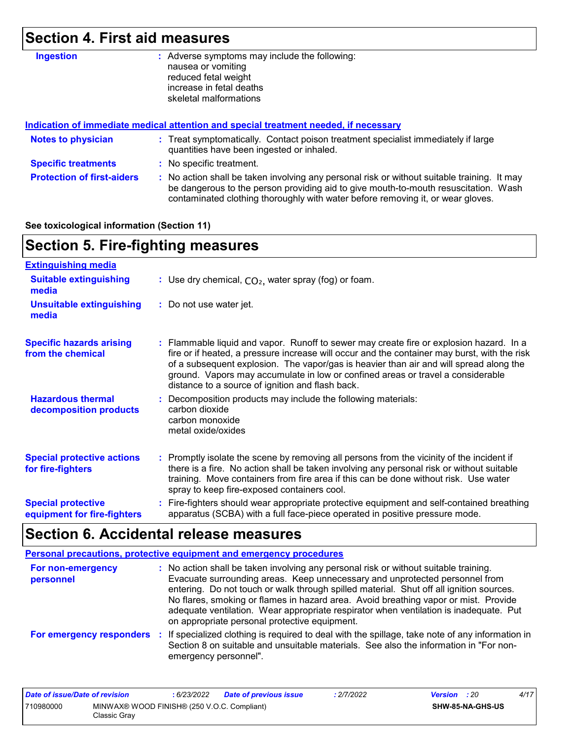## **Section 4. First aid measures**

| <b>Ingestion</b>                  | : Adverse symptoms may include the following:<br>nausea or vomiting<br>reduced fetal weight<br>increase in fetal deaths                                                                                                                                               |
|-----------------------------------|-----------------------------------------------------------------------------------------------------------------------------------------------------------------------------------------------------------------------------------------------------------------------|
|                                   | skeletal malformations                                                                                                                                                                                                                                                |
|                                   | Indication of immediate medical attention and special treatment needed, if necessary                                                                                                                                                                                  |
| <b>Notes to physician</b>         | : Treat symptomatically. Contact poison treatment specialist immediately if large<br>quantities have been ingested or inhaled.                                                                                                                                        |
| <b>Specific treatments</b>        | : No specific treatment.                                                                                                                                                                                                                                              |
| <b>Protection of first-aiders</b> | : No action shall be taken involving any personal risk or without suitable training. It may<br>be dangerous to the person providing aid to give mouth-to-mouth resuscitation. Wash<br>contaminated clothing thoroughly with water before removing it, or wear gloves. |

#### **See toxicological information (Section 11)**

### **Section 5. Fire-fighting measures**

| <b>Extinguishing media</b>                               |                                                                                                                                                                                                                                                                                                                                                                                                                          |
|----------------------------------------------------------|--------------------------------------------------------------------------------------------------------------------------------------------------------------------------------------------------------------------------------------------------------------------------------------------------------------------------------------------------------------------------------------------------------------------------|
| <b>Suitable extinguishing</b><br>media                   | : Use dry chemical, $CO2$ , water spray (fog) or foam.                                                                                                                                                                                                                                                                                                                                                                   |
| <b>Unsuitable extinguishing</b><br>media                 | : Do not use water jet.                                                                                                                                                                                                                                                                                                                                                                                                  |
| <b>Specific hazards arising</b><br>from the chemical     | : Flammable liquid and vapor. Runoff to sewer may create fire or explosion hazard. In a<br>fire or if heated, a pressure increase will occur and the container may burst, with the risk<br>of a subsequent explosion. The vapor/gas is heavier than air and will spread along the<br>ground. Vapors may accumulate in low or confined areas or travel a considerable<br>distance to a source of ignition and flash back. |
| <b>Hazardous thermal</b><br>decomposition products       | : Decomposition products may include the following materials:<br>carbon dioxide<br>carbon monoxide<br>metal oxide/oxides                                                                                                                                                                                                                                                                                                 |
| <b>Special protective actions</b><br>for fire-fighters   | : Promptly isolate the scene by removing all persons from the vicinity of the incident if<br>there is a fire. No action shall be taken involving any personal risk or without suitable<br>training. Move containers from fire area if this can be done without risk. Use water<br>spray to keep fire-exposed containers cool.                                                                                            |
| <b>Special protective</b><br>equipment for fire-fighters | : Fire-fighters should wear appropriate protective equipment and self-contained breathing<br>apparatus (SCBA) with a full face-piece operated in positive pressure mode.                                                                                                                                                                                                                                                 |

# **Section 6. Accidental release measures**

| Personal precautions, protective equipment and emergency procedures |                                                                                                                                                                                                                                                                                                                                                                                                                                                                                                 |  |  |  |
|---------------------------------------------------------------------|-------------------------------------------------------------------------------------------------------------------------------------------------------------------------------------------------------------------------------------------------------------------------------------------------------------------------------------------------------------------------------------------------------------------------------------------------------------------------------------------------|--|--|--|
| For non-emergency<br>personnel                                      | : No action shall be taken involving any personal risk or without suitable training.<br>Evacuate surrounding areas. Keep unnecessary and unprotected personnel from<br>entering. Do not touch or walk through spilled material. Shut off all ignition sources.<br>No flares, smoking or flames in hazard area. Avoid breathing vapor or mist. Provide<br>adequate ventilation. Wear appropriate respirator when ventilation is inadequate. Put<br>on appropriate personal protective equipment. |  |  |  |
| For emergency responders                                            | : If specialized clothing is required to deal with the spillage, take note of any information in<br>Section 8 on suitable and unsuitable materials. See also the information in "For non-<br>emergency personnel".                                                                                                                                                                                                                                                                              |  |  |  |

| Date of issue/Date of revision |                                                             | : 6/23/2022 | <b>Date of previous issue</b> | : 2/7/2022 | <b>Version</b> : 20 |                         | 4/17 |
|--------------------------------|-------------------------------------------------------------|-------------|-------------------------------|------------|---------------------|-------------------------|------|
| 710980000                      | MINWAX® WOOD FINISH® (250 V.O.C. Compliant)<br>Classic Gray |             |                               |            |                     | <b>SHW-85-NA-GHS-US</b> |      |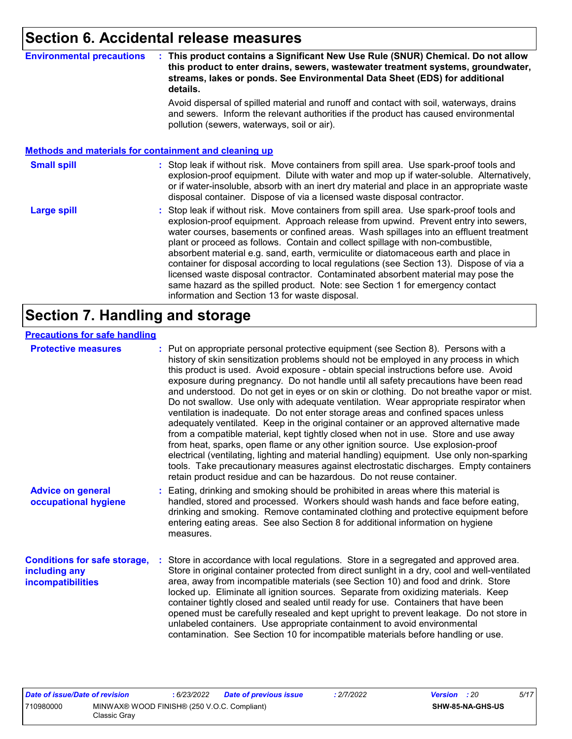### **Section 6. Accidental release measures**

#### **Environmental precautions : This product contains a Significant New Use Rule (SNUR) Chemical. Do not allow this product to enter drains, sewers, wastewater treatment systems, groundwater, streams, lakes or ponds. See Environmental Data Sheet (EDS) for additional details.**

Avoid dispersal of spilled material and runoff and contact with soil, waterways, drains and sewers. Inform the relevant authorities if the product has caused environmental pollution (sewers, waterways, soil or air).

|                    | <b>Methods and materials for containment and cleaning up</b>                                                                                                                                                                                                                                                                                                                                                                                                                                                                                                                                                                                                                                                                                                         |
|--------------------|----------------------------------------------------------------------------------------------------------------------------------------------------------------------------------------------------------------------------------------------------------------------------------------------------------------------------------------------------------------------------------------------------------------------------------------------------------------------------------------------------------------------------------------------------------------------------------------------------------------------------------------------------------------------------------------------------------------------------------------------------------------------|
| <b>Small spill</b> | : Stop leak if without risk. Move containers from spill area. Use spark-proof tools and<br>explosion-proof equipment. Dilute with water and mop up if water-soluble. Alternatively,<br>or if water-insoluble, absorb with an inert dry material and place in an appropriate waste<br>disposal container. Dispose of via a licensed waste disposal contractor.                                                                                                                                                                                                                                                                                                                                                                                                        |
| <b>Large spill</b> | : Stop leak if without risk. Move containers from spill area. Use spark-proof tools and<br>explosion-proof equipment. Approach release from upwind. Prevent entry into sewers,<br>water courses, basements or confined areas. Wash spillages into an effluent treatment<br>plant or proceed as follows. Contain and collect spillage with non-combustible,<br>absorbent material e.g. sand, earth, vermiculite or diatomaceous earth and place in<br>container for disposal according to local regulations (see Section 13). Dispose of via a<br>licensed waste disposal contractor. Contaminated absorbent material may pose the<br>same hazard as the spilled product. Note: see Section 1 for emergency contact<br>information and Section 13 for waste disposal. |

### **Section 7. Handling and storage**

#### **Precautions for safe handling**

| <b>Protective measures</b>                                                       | : Put on appropriate personal protective equipment (see Section 8). Persons with a<br>history of skin sensitization problems should not be employed in any process in which<br>this product is used. Avoid exposure - obtain special instructions before use. Avoid<br>exposure during pregnancy. Do not handle until all safety precautions have been read<br>and understood. Do not get in eyes or on skin or clothing. Do not breathe vapor or mist.<br>Do not swallow. Use only with adequate ventilation. Wear appropriate respirator when<br>ventilation is inadequate. Do not enter storage areas and confined spaces unless<br>adequately ventilated. Keep in the original container or an approved alternative made<br>from a compatible material, kept tightly closed when not in use. Store and use away<br>from heat, sparks, open flame or any other ignition source. Use explosion-proof<br>electrical (ventilating, lighting and material handling) equipment. Use only non-sparking<br>tools. Take precautionary measures against electrostatic discharges. Empty containers<br>retain product residue and can be hazardous. Do not reuse container. |
|----------------------------------------------------------------------------------|----------------------------------------------------------------------------------------------------------------------------------------------------------------------------------------------------------------------------------------------------------------------------------------------------------------------------------------------------------------------------------------------------------------------------------------------------------------------------------------------------------------------------------------------------------------------------------------------------------------------------------------------------------------------------------------------------------------------------------------------------------------------------------------------------------------------------------------------------------------------------------------------------------------------------------------------------------------------------------------------------------------------------------------------------------------------------------------------------------------------------------------------------------------------|
| <b>Advice on general</b><br>occupational hygiene                                 | : Eating, drinking and smoking should be prohibited in areas where this material is<br>handled, stored and processed. Workers should wash hands and face before eating,<br>drinking and smoking. Remove contaminated clothing and protective equipment before<br>entering eating areas. See also Section 8 for additional information on hygiene<br>measures.                                                                                                                                                                                                                                                                                                                                                                                                                                                                                                                                                                                                                                                                                                                                                                                                        |
| <b>Conditions for safe storage,</b><br>including any<br><b>incompatibilities</b> | : Store in accordance with local regulations. Store in a segregated and approved area.<br>Store in original container protected from direct sunlight in a dry, cool and well-ventilated<br>area, away from incompatible materials (see Section 10) and food and drink. Store<br>locked up. Eliminate all ignition sources. Separate from oxidizing materials. Keep<br>container tightly closed and sealed until ready for use. Containers that have been<br>opened must be carefully resealed and kept upright to prevent leakage. Do not store in<br>unlabeled containers. Use appropriate containment to avoid environmental<br>contamination. See Section 10 for incompatible materials before handling or use.                                                                                                                                                                                                                                                                                                                                                                                                                                                   |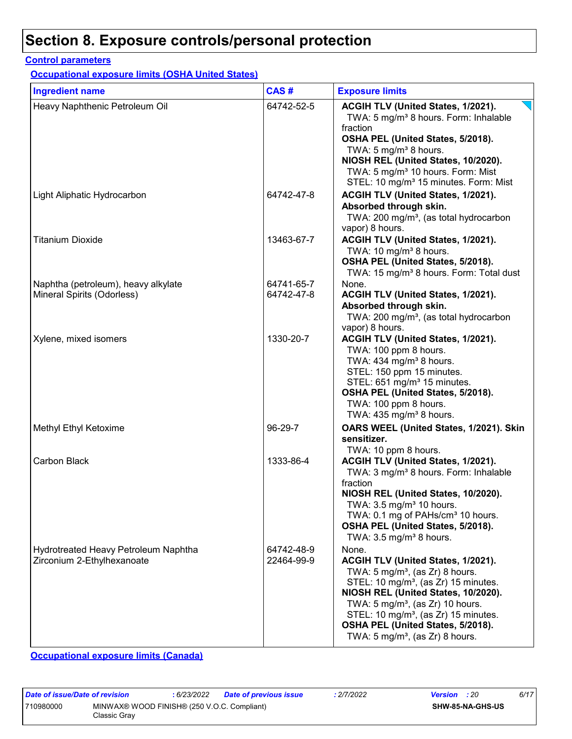### **Section 8. Exposure controls/personal protection**

#### **Control parameters**

**Occupational exposure limits (OSHA United States)**

| <b>Ingredient name</b>                                             | CAS#                     | <b>Exposure limits</b>                                                                                                                                                                                                                                                                                                                                                      |
|--------------------------------------------------------------------|--------------------------|-----------------------------------------------------------------------------------------------------------------------------------------------------------------------------------------------------------------------------------------------------------------------------------------------------------------------------------------------------------------------------|
| Heavy Naphthenic Petroleum Oil                                     | 64742-52-5               | ACGIH TLV (United States, 1/2021).<br>TWA: 5 mg/m <sup>3</sup> 8 hours. Form: Inhalable<br>fraction<br>OSHA PEL (United States, 5/2018).<br>TWA: 5 mg/m <sup>3</sup> 8 hours.<br>NIOSH REL (United States, 10/2020).<br>TWA: 5 mg/m <sup>3</sup> 10 hours. Form: Mist<br>STEL: 10 mg/m <sup>3</sup> 15 minutes. Form: Mist                                                  |
| Light Aliphatic Hydrocarbon                                        | 64742-47-8               | ACGIH TLV (United States, 1/2021).<br>Absorbed through skin.<br>TWA: 200 mg/m <sup>3</sup> , (as total hydrocarbon<br>vapor) 8 hours.                                                                                                                                                                                                                                       |
| <b>Titanium Dioxide</b>                                            | 13463-67-7               | ACGIH TLV (United States, 1/2021).<br>TWA: 10 mg/m <sup>3</sup> 8 hours.<br>OSHA PEL (United States, 5/2018).<br>TWA: 15 mg/m <sup>3</sup> 8 hours. Form: Total dust                                                                                                                                                                                                        |
| Naphtha (petroleum), heavy alkylate<br>Mineral Spirits (Odorless)  | 64741-65-7<br>64742-47-8 | None.<br>ACGIH TLV (United States, 1/2021).<br>Absorbed through skin.<br>TWA: 200 mg/m <sup>3</sup> , (as total hydrocarbon<br>vapor) 8 hours.                                                                                                                                                                                                                              |
| Xylene, mixed isomers                                              | 1330-20-7                | ACGIH TLV (United States, 1/2021).<br>TWA: 100 ppm 8 hours.<br>TWA: $434$ mg/m <sup>3</sup> 8 hours.<br>STEL: 150 ppm 15 minutes.<br>STEL: 651 mg/m <sup>3</sup> 15 minutes.<br>OSHA PEL (United States, 5/2018).<br>TWA: 100 ppm 8 hours.<br>TWA: $435 \text{ mg/m}^3$ 8 hours.                                                                                            |
| Methyl Ethyl Ketoxime                                              | 96-29-7                  | OARS WEEL (United States, 1/2021). Skin<br>sensitizer.<br>TWA: 10 ppm 8 hours.                                                                                                                                                                                                                                                                                              |
| Carbon Black                                                       | 1333-86-4                | ACGIH TLV (United States, 1/2021).<br>TWA: 3 mg/m <sup>3</sup> 8 hours. Form: Inhalable<br>fraction<br>NIOSH REL (United States, 10/2020).<br>TWA: 3.5 mg/m <sup>3</sup> 10 hours.<br>TWA: 0.1 mg of PAHs/cm <sup>3</sup> 10 hours.<br>OSHA PEL (United States, 5/2018).<br>TWA: 3.5 mg/m <sup>3</sup> 8 hours.                                                             |
| Hydrotreated Heavy Petroleum Naphtha<br>Zirconium 2-Ethylhexanoate | 64742-48-9<br>22464-99-9 | None.<br>ACGIH TLV (United States, 1/2021).<br>TWA: 5 mg/m <sup>3</sup> , (as Zr) 8 hours.<br>STEL: 10 mg/m <sup>3</sup> , (as Zr) 15 minutes.<br>NIOSH REL (United States, 10/2020).<br>TWA: $5 \text{ mg/m}^3$ , (as Zr) 10 hours.<br>STEL: 10 mg/m <sup>3</sup> , (as Zr) 15 minutes.<br>OSHA PEL (United States, 5/2018).<br>TWA: $5 \text{ mg/m}^3$ , (as Zr) 8 hours. |

**Occupational exposure limits (Canada)**

| Date of issue/Date of revision |                                                             | 6/23/2022 | Date of previous issue | : 2/7/2022 | <b>Version</b> : 20 |                  | 6/17 |
|--------------------------------|-------------------------------------------------------------|-----------|------------------------|------------|---------------------|------------------|------|
| 710980000                      | MINWAX® WOOD FINISH® (250 V.O.C. Compliant)<br>Classic Gray |           |                        |            |                     | SHW-85-NA-GHS-US |      |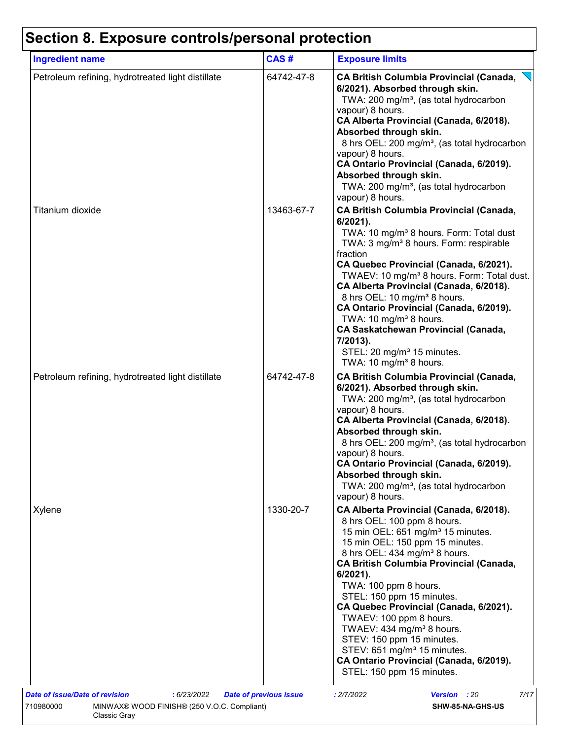# **Section 8. Exposure controls/personal protection**

| <b>Ingredient name</b>                            | CAS#       | <b>Exposure limits</b>                                                                                                                                                                                                                                                                                                                                                                                                                                                                                                                                                                                       |
|---------------------------------------------------|------------|--------------------------------------------------------------------------------------------------------------------------------------------------------------------------------------------------------------------------------------------------------------------------------------------------------------------------------------------------------------------------------------------------------------------------------------------------------------------------------------------------------------------------------------------------------------------------------------------------------------|
| Petroleum refining, hydrotreated light distillate | 64742-47-8 | <b>CA British Columbia Provincial (Canada,</b><br>6/2021). Absorbed through skin.<br>TWA: 200 mg/m <sup>3</sup> , (as total hydrocarbon<br>vapour) 8 hours.<br>CA Alberta Provincial (Canada, 6/2018).<br>Absorbed through skin.<br>8 hrs OEL: 200 mg/m <sup>3</sup> , (as total hydrocarbon<br>vapour) 8 hours.<br>CA Ontario Provincial (Canada, 6/2019).<br>Absorbed through skin.<br>TWA: 200 mg/m <sup>3</sup> , (as total hydrocarbon<br>vapour) 8 hours.                                                                                                                                              |
| Titanium dioxide                                  | 13463-67-7 | <b>CA British Columbia Provincial (Canada,</b><br>$6/2021$ ).<br>TWA: 10 mg/m <sup>3</sup> 8 hours. Form: Total dust<br>TWA: 3 mg/m <sup>3</sup> 8 hours. Form: respirable<br>fraction<br>CA Quebec Provincial (Canada, 6/2021).<br>TWAEV: 10 mg/m <sup>3</sup> 8 hours. Form: Total dust.<br>CA Alberta Provincial (Canada, 6/2018).<br>8 hrs OEL: 10 mg/m <sup>3</sup> 8 hours.<br>CA Ontario Provincial (Canada, 6/2019).<br>TWA: 10 mg/m <sup>3</sup> 8 hours.<br><b>CA Saskatchewan Provincial (Canada,</b><br>7/2013).<br>STEL: 20 mg/m <sup>3</sup> 15 minutes.<br>TWA: 10 mg/m <sup>3</sup> 8 hours. |
| Petroleum refining, hydrotreated light distillate | 64742-47-8 | <b>CA British Columbia Provincial (Canada,</b><br>6/2021). Absorbed through skin.<br>TWA: 200 mg/m <sup>3</sup> , (as total hydrocarbon<br>vapour) 8 hours.<br>CA Alberta Provincial (Canada, 6/2018).<br>Absorbed through skin.<br>8 hrs OEL: 200 mg/m <sup>3</sup> , (as total hydrocarbon<br>vapour) 8 hours.<br>CA Ontario Provincial (Canada, 6/2019).<br>Absorbed through skin.<br>TWA: 200 mg/m <sup>3</sup> , (as total hydrocarbon<br>vapour) 8 hours.                                                                                                                                              |
| Xylene                                            | 1330-20-7  | CA Alberta Provincial (Canada, 6/2018).<br>8 hrs OEL: 100 ppm 8 hours.<br>15 min OEL: 651 mg/m <sup>3</sup> 15 minutes.<br>15 min OEL: 150 ppm 15 minutes.<br>8 hrs OEL: 434 mg/m <sup>3</sup> 8 hours.<br><b>CA British Columbia Provincial (Canada,</b><br>$6/2021$ ).<br>TWA: 100 ppm 8 hours.<br>STEL: 150 ppm 15 minutes.<br>CA Quebec Provincial (Canada, 6/2021).<br>TWAEV: 100 ppm 8 hours.<br>TWAEV: 434 mg/m <sup>3</sup> 8 hours.<br>STEV: 150 ppm 15 minutes.<br>STEV: 651 mg/m <sup>3</sup> 15 minutes.<br>CA Ontario Provincial (Canada, 6/2019).<br>STEL: 150 ppm 15 minutes.                 |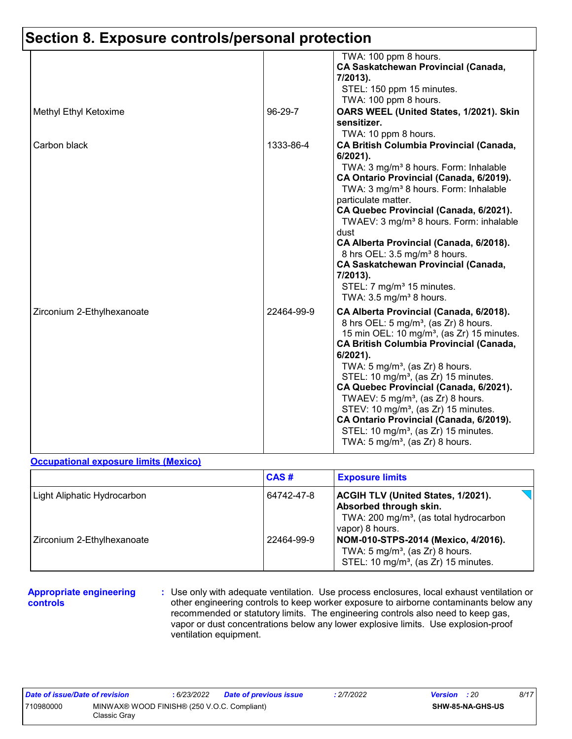|                            |            | TWA: 100 ppm 8 hours.<br>CA Saskatchewan Provincial (Canada,<br>7/2013).<br>STEL: 150 ppm 15 minutes.<br>TWA: 100 ppm 8 hours.                                                                                                                                                                                                                                                                                                                                                                                                                                                                                    |
|----------------------------|------------|-------------------------------------------------------------------------------------------------------------------------------------------------------------------------------------------------------------------------------------------------------------------------------------------------------------------------------------------------------------------------------------------------------------------------------------------------------------------------------------------------------------------------------------------------------------------------------------------------------------------|
| Methyl Ethyl Ketoxime      | 96-29-7    | OARS WEEL (United States, 1/2021). Skin<br>sensitizer.<br>TWA: 10 ppm 8 hours.                                                                                                                                                                                                                                                                                                                                                                                                                                                                                                                                    |
| Carbon black               | 1333-86-4  | <b>CA British Columbia Provincial (Canada,</b><br>6/2021).<br>TWA: 3 mg/m <sup>3</sup> 8 hours. Form: Inhalable<br>CA Ontario Provincial (Canada, 6/2019).<br>TWA: 3 mg/m <sup>3</sup> 8 hours. Form: Inhalable<br>particulate matter.<br>CA Quebec Provincial (Canada, 6/2021).<br>TWAEV: 3 mg/m <sup>3</sup> 8 hours. Form: inhalable<br>dust<br>CA Alberta Provincial (Canada, 6/2018).<br>8 hrs OEL: 3.5 mg/m <sup>3</sup> 8 hours.<br><b>CA Saskatchewan Provincial (Canada,</b><br>7/2013).<br>STEL: 7 mg/m <sup>3</sup> 15 minutes.<br>TWA: $3.5 \text{ mg/m}^3$ 8 hours.                                  |
| Zirconium 2-Ethylhexanoate | 22464-99-9 | CA Alberta Provincial (Canada, 6/2018).<br>8 hrs OEL: 5 mg/m <sup>3</sup> , (as Zr) 8 hours.<br>15 min OEL: 10 mg/m <sup>3</sup> , (as Zr) 15 minutes.<br><b>CA British Columbia Provincial (Canada,</b><br>6/2021).<br>TWA: $5 \text{ mg/m}^3$ , (as Zr) 8 hours.<br>STEL: 10 mg/m <sup>3</sup> , (as Zr) 15 minutes.<br>CA Quebec Provincial (Canada, 6/2021).<br>TWAEV: $5 \text{ mg/m}^3$ , (as Zr) 8 hours.<br>STEV: 10 mg/m <sup>3</sup> , (as Zr) 15 minutes.<br>CA Ontario Provincial (Canada, 6/2019).<br>STEL: 10 mg/m <sup>3</sup> , (as Zr) 15 minutes.<br>TWA: $5 \text{ mg/m}^3$ , (as Zr) 8 hours. |

#### **Occupational exposure limits (Mexico)**

|                             | CAS#       | <b>Exposure limits</b>                                                                                                                              |
|-----------------------------|------------|-----------------------------------------------------------------------------------------------------------------------------------------------------|
| Light Aliphatic Hydrocarbon | 64742-47-8 | <b>ACGIH TLV (United States, 1/2021).</b><br><b>Absorbed through skin.</b><br>TWA: 200 mg/m <sup>3</sup> , (as total hydrocarbon<br>vapor) 8 hours. |
| Zirconium 2-Ethylhexanoate  | 22464-99-9 | NOM-010-STPS-2014 (Mexico, 4/2016).<br>TWA: $5 \text{ mg/m}^3$ , (as Zr) 8 hours.<br>STEL: 10 mg/m <sup>3</sup> , (as Zr) 15 minutes.               |

#### **Appropriate engineering controls**

**:** Use only with adequate ventilation. Use process enclosures, local exhaust ventilation or other engineering controls to keep worker exposure to airborne contaminants below any recommended or statutory limits. The engineering controls also need to keep gas, vapor or dust concentrations below any lower explosive limits. Use explosion-proof ventilation equipment.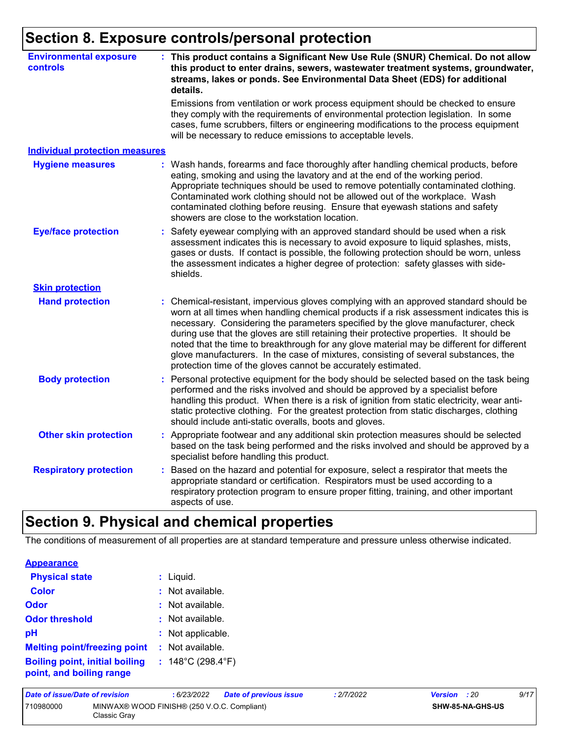### **Section 8. Exposure controls/personal protection**

| <b>Environmental exposure</b><br>controls | : This product contains a Significant New Use Rule (SNUR) Chemical. Do not allow<br>this product to enter drains, sewers, wastewater treatment systems, groundwater,<br>streams, lakes or ponds. See Environmental Data Sheet (EDS) for additional<br>details.                                                                                                                                                                                                                                                                                                                                                       |  |  |  |  |  |
|-------------------------------------------|----------------------------------------------------------------------------------------------------------------------------------------------------------------------------------------------------------------------------------------------------------------------------------------------------------------------------------------------------------------------------------------------------------------------------------------------------------------------------------------------------------------------------------------------------------------------------------------------------------------------|--|--|--|--|--|
|                                           | Emissions from ventilation or work process equipment should be checked to ensure<br>they comply with the requirements of environmental protection legislation. In some<br>cases, fume scrubbers, filters or engineering modifications to the process equipment<br>will be necessary to reduce emissions to acceptable levels.                                                                                                                                                                                                                                                                                        |  |  |  |  |  |
| <b>Individual protection measures</b>     |                                                                                                                                                                                                                                                                                                                                                                                                                                                                                                                                                                                                                      |  |  |  |  |  |
| <b>Hygiene measures</b>                   | Wash hands, forearms and face thoroughly after handling chemical products, before<br>eating, smoking and using the lavatory and at the end of the working period.<br>Appropriate techniques should be used to remove potentially contaminated clothing.<br>Contaminated work clothing should not be allowed out of the workplace. Wash<br>contaminated clothing before reusing. Ensure that eyewash stations and safety<br>showers are close to the workstation location.                                                                                                                                            |  |  |  |  |  |
| <b>Eye/face protection</b>                | Safety eyewear complying with an approved standard should be used when a risk<br>assessment indicates this is necessary to avoid exposure to liquid splashes, mists,<br>gases or dusts. If contact is possible, the following protection should be worn, unless<br>the assessment indicates a higher degree of protection: safety glasses with side-<br>shields.                                                                                                                                                                                                                                                     |  |  |  |  |  |
| <b>Skin protection</b>                    |                                                                                                                                                                                                                                                                                                                                                                                                                                                                                                                                                                                                                      |  |  |  |  |  |
| <b>Hand protection</b>                    | Chemical-resistant, impervious gloves complying with an approved standard should be<br>worn at all times when handling chemical products if a risk assessment indicates this is<br>necessary. Considering the parameters specified by the glove manufacturer, check<br>during use that the gloves are still retaining their protective properties. It should be<br>noted that the time to breakthrough for any glove material may be different for different<br>glove manufacturers. In the case of mixtures, consisting of several substances, the<br>protection time of the gloves cannot be accurately estimated. |  |  |  |  |  |
| <b>Body protection</b>                    | Personal protective equipment for the body should be selected based on the task being<br>performed and the risks involved and should be approved by a specialist before<br>handling this product. When there is a risk of ignition from static electricity, wear anti-<br>static protective clothing. For the greatest protection from static discharges, clothing<br>should include anti-static overalls, boots and gloves.                                                                                                                                                                                         |  |  |  |  |  |
| <b>Other skin protection</b>              | : Appropriate footwear and any additional skin protection measures should be selected<br>based on the task being performed and the risks involved and should be approved by a<br>specialist before handling this product.                                                                                                                                                                                                                                                                                                                                                                                            |  |  |  |  |  |
| <b>Respiratory protection</b>             | Based on the hazard and potential for exposure, select a respirator that meets the<br>appropriate standard or certification. Respirators must be used according to a<br>respiratory protection program to ensure proper fitting, training, and other important<br>aspects of use.                                                                                                                                                                                                                                                                                                                                    |  |  |  |  |  |

### **Section 9. Physical and chemical properties**

The conditions of measurement of all properties are at standard temperature and pressure unless otherwise indicated.

| : Liquid.                              |
|----------------------------------------|
| $:$ Not available.                     |
| $:$ Not available.                     |
| : Not available.                       |
| : Not applicable.                      |
| $:$ Not available.                     |
| : $148^{\circ}$ C (298.4 $^{\circ}$ F) |
|                                        |

| Date of issue/Date of revision |                                                             | : 6/23/2022 | <b>Date of previous issue</b> | : 2/7/2022 | <b>Version</b> : 20 |                         | 9/17 |
|--------------------------------|-------------------------------------------------------------|-------------|-------------------------------|------------|---------------------|-------------------------|------|
| 710980000                      | MINWAX® WOOD FINISH® (250 V.O.C. Compliant)<br>Classic Grav |             |                               |            |                     | <b>SHW-85-NA-GHS-US</b> |      |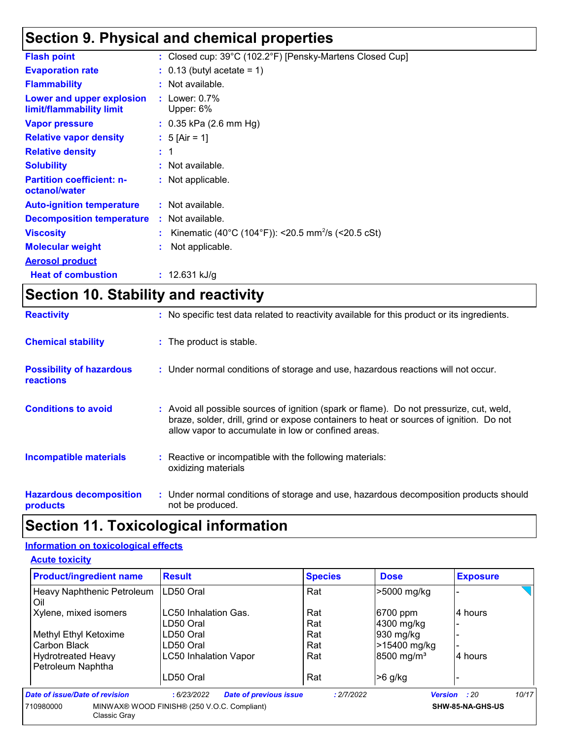### **Section 9. Physical and chemical properties**

| <b>Flash point</b>                                    | : Closed cup: 39°C (102.2°F) [Pensky-Martens Closed Cup]       |
|-------------------------------------------------------|----------------------------------------------------------------|
| <b>Evaporation rate</b>                               | $\therefore$ 0.13 (butyl acetate = 1)                          |
| <b>Flammability</b>                                   | : Not available.                                               |
| Lower and upper explosion<br>limit/flammability limit | : Lower: $0.7\%$<br>Upper: 6%                                  |
| <b>Vapor pressure</b>                                 | $: 0.35$ kPa (2.6 mm Hg)                                       |
| <b>Relative vapor density</b>                         | : 5 [Air = 1]                                                  |
| <b>Relative density</b>                               | $\pm$ 1                                                        |
| <b>Solubility</b>                                     | : Not available.                                               |
| <b>Partition coefficient: n-</b><br>octanol/water     | : Not applicable.                                              |
| <b>Auto-ignition temperature</b>                      | : Not available.                                               |
| <b>Decomposition temperature</b>                      | : Not available.                                               |
| <b>Viscosity</b>                                      | Kinematic (40°C (104°F)): <20.5 mm <sup>2</sup> /s (<20.5 cSt) |
| <b>Molecular weight</b>                               | Not applicable.                                                |
| <b>Aerosol product</b>                                |                                                                |
| <b>Heat of combustion</b>                             | : 12.631 kJ/g                                                  |

# **Section 10. Stability and reactivity**

| <b>Reactivity</b>                                   | : No specific test data related to reactivity available for this product or its ingredients.                                                                                                                                               |
|-----------------------------------------------------|--------------------------------------------------------------------------------------------------------------------------------------------------------------------------------------------------------------------------------------------|
| <b>Chemical stability</b>                           | : The product is stable.                                                                                                                                                                                                                   |
| <b>Possibility of hazardous</b><br><b>reactions</b> | : Under normal conditions of storage and use, hazardous reactions will not occur.                                                                                                                                                          |
| <b>Conditions to avoid</b>                          | : Avoid all possible sources of ignition (spark or flame). Do not pressurize, cut, weld,<br>braze, solder, drill, grind or expose containers to heat or sources of ignition. Do not<br>allow vapor to accumulate in low or confined areas. |
| <b>Incompatible materials</b>                       | : Reactive or incompatible with the following materials:<br>oxidizing materials                                                                                                                                                            |
| <b>Hazardous decomposition</b><br>products          | : Under normal conditions of storage and use, hazardous decomposition products should<br>not be produced.                                                                                                                                  |

### **Section 11. Toxicological information**

### **Information on toxicological effects**

#### **Acute toxicity**

| <b>Product/ingredient name</b>                 | <b>Result</b>                                | <b>Species</b> | <b>Dose</b>            | <b>Exposure</b>              |
|------------------------------------------------|----------------------------------------------|----------------|------------------------|------------------------------|
| Heavy Naphthenic Petroleum<br>Oil              | LD50 Oral                                    | Rat            | >5000 mg/kg            |                              |
| Xylene, mixed isomers                          | LC50 Inhalation Gas.                         | Rat            | 6700 ppm               | 4 hours                      |
|                                                | LD50 Oral                                    | Rat            | 4300 mg/kg             |                              |
| Methyl Ethyl Ketoxime                          | LD50 Oral                                    | Rat            | 930 mg/kg              |                              |
| Carbon Black                                   | LD50 Oral                                    | Rat            | >15400 mg/kg           |                              |
| <b>Hydrotreated Heavy</b><br>Petroleum Naphtha | <b>LC50 Inhalation Vapor</b>                 | Rat            | 8500 mg/m <sup>3</sup> | 4 hours                      |
|                                                | LD50 Oral                                    | Rat            | $>6$ g/kg              |                              |
| Date of issue/Date of revision                 | <b>Date of previous issue</b><br>: 6/23/2022 | : 2/7/2022     |                        | 10/17<br><b>Version</b> : 20 |
| 710980000<br>Classic Gray                      | MINWAX® WOOD FINISH® (250 V.O.C. Compliant)  |                |                        | SHW-85-NA-GHS-US             |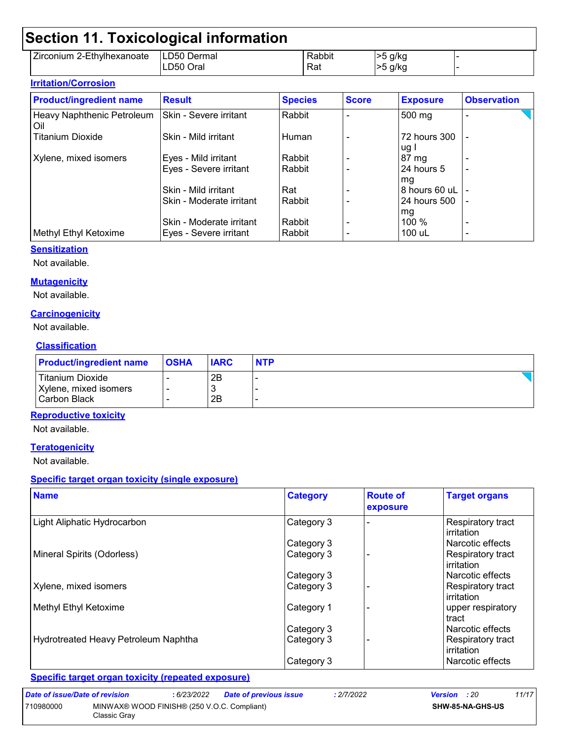### **Section 11. Toxicological information**

|                                            | _            |        |      |  |
|--------------------------------------------|--------------|--------|------|--|
| $- \cdot$<br>2-Ethylhexanoate<br>Zirconium | LD50 Dermal  | Rabbit | g/kg |  |
|                                            | Orai<br>LD50 | Rat    | g/kg |  |

| <b>Irritation/Corrosion</b>         |                          |                |              |                      |                          |  |
|-------------------------------------|--------------------------|----------------|--------------|----------------------|--------------------------|--|
| <b>Product/ingredient name</b>      | <b>Result</b>            | <b>Species</b> | <b>Score</b> | <b>Exposure</b>      | <b>Observation</b>       |  |
| Heavy Naphthenic Petroleum<br>l Oil | Skin - Severe irritant   | l Rabbit       |              | 500 mg               |                          |  |
| <b>Titanium Dioxide</b>             | Skin - Mild irritant     | l Human        |              | 72 hours 300<br>ug l |                          |  |
| Xylene, mixed isomers               | Eyes - Mild irritant     | l Rabbit       |              | 87 mg                |                          |  |
|                                     | Eyes - Severe irritant   | l Rabbit       |              | 24 hours 5<br>mg     | $\overline{\phantom{0}}$ |  |
|                                     | Skin - Mild irritant     | Rat            |              | 8 hours 60 uL        |                          |  |
|                                     | Skin - Moderate irritant | l Rabbit       |              | 24 hours 500         |                          |  |
|                                     |                          |                |              | mg                   |                          |  |
|                                     | Skin - Moderate irritant | Rabbit         |              | 100 %                |                          |  |
| Methyl Ethyl Ketoxime               | Eyes - Severe irritant   | l Rabbit       |              | 100 uL               |                          |  |

#### **Sensitization**

Not available.

#### **Mutagenicity**

Not available.

#### **Carcinogenicity**

Not available.

#### **Classification**

| <b>Product/ingredient name</b> | OSHA | <b>IARC</b> | <b>NTP</b> |
|--------------------------------|------|-------------|------------|
| Titanium Dioxide               |      | 2B          |            |
| Xylene, mixed isomers          |      | -3          |            |
| Carbon Black                   |      | 2B          |            |

#### **Reproductive toxicity**

Not available.

#### **Teratogenicity**

Not available.

#### **Specific target organ toxicity (single exposure)**

| <b>Name</b>                                 | <b>Category</b> | <b>Route of</b><br>exposure | <b>Target organs</b>                   |
|---------------------------------------------|-----------------|-----------------------------|----------------------------------------|
| Light Aliphatic Hydrocarbon                 | Category 3      |                             | Respiratory tract<br>irritation        |
|                                             | Category 3      |                             | Narcotic effects                       |
| Mineral Spirits (Odorless)                  | Category 3      |                             | Respiratory tract<br><b>irritation</b> |
|                                             | Category 3      |                             | Narcotic effects                       |
| Xylene, mixed isomers                       | Category 3      |                             | Respiratory tract<br>irritation        |
| Methyl Ethyl Ketoxime                       | Category 1      |                             | upper respiratory<br>tract             |
|                                             | Category 3      |                             | Narcotic effects                       |
| <b>Hydrotreated Heavy Petroleum Naphtha</b> | Category 3      |                             | Respiratory tract<br>irritation        |
|                                             | Category 3      |                             | Narcotic effects                       |

#### **Specific target organ toxicity (repeated exposure)**

| Date of issue/Date of revision                           |              | : 6/23/2022 | <b>Date of previous issue</b> | .2/7/2022 | <b>Version</b> : 20 |  | 11/17 |
|----------------------------------------------------------|--------------|-------------|-------------------------------|-----------|---------------------|--|-------|
| MINWAX® WOOD FINISH® (250 V.O.C. Compliant)<br>710980000 |              |             |                               |           | SHW-85-NA-GHS-US    |  |       |
|                                                          | Classic Gray |             |                               |           |                     |  |       |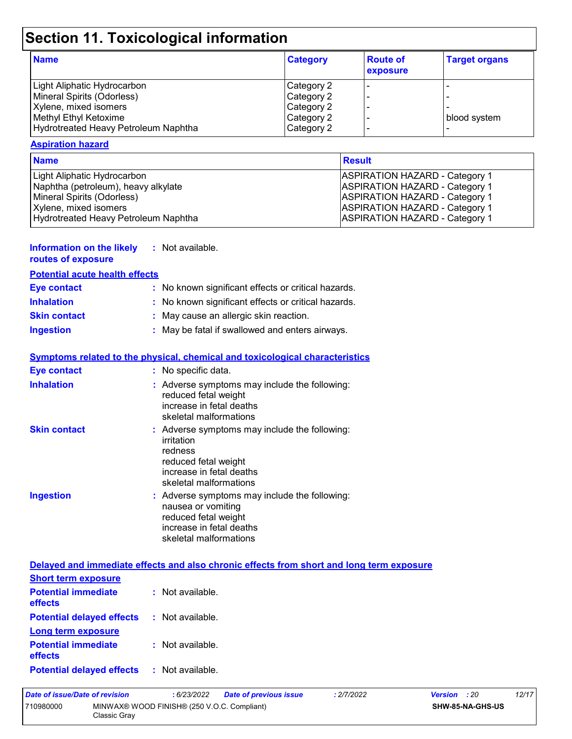# **Section 11. Toxicological information**

| <b>Name</b>                          | <b>Category</b> | <b>Route of</b><br>exposure | <b>Target organs</b> |
|--------------------------------------|-----------------|-----------------------------|----------------------|
| Light Aliphatic Hydrocarbon          | Category 2      |                             |                      |
| Mineral Spirits (Odorless)           | Category 2      |                             |                      |
| Xylene, mixed isomers                | Category 2      |                             |                      |
| Methyl Ethyl Ketoxime                | Category 2      |                             | blood system         |
| Hydrotreated Heavy Petroleum Naphtha | Category 2      |                             |                      |

#### **Aspiration hazard**

| <b>Name</b>                          | <b>Result</b>                         |
|--------------------------------------|---------------------------------------|
| Light Aliphatic Hydrocarbon          | <b>ASPIRATION HAZARD - Category 1</b> |
| Naphtha (petroleum), heavy alkylate  | <b>ASPIRATION HAZARD - Category 1</b> |
| Mineral Spirits (Odorless)           | <b>ASPIRATION HAZARD - Category 1</b> |
| Xylene, mixed isomers                | <b>ASPIRATION HAZARD - Category 1</b> |
| Hydrotreated Heavy Petroleum Naphtha | <b>ASPIRATION HAZARD - Category 1</b> |

#### **Information on the likely :** Not available.

|  | routes of exposure |  |
|--|--------------------|--|
|--|--------------------|--|

| routes of exposure                    |  |
|---------------------------------------|--|
| <b>Potential acute health effects</b> |  |

| <b>Eye contact</b>  | : No known significant effects or critical hazards. |
|---------------------|-----------------------------------------------------|
| <b>Inhalation</b>   | : No known significant effects or critical hazards. |
| <b>Skin contact</b> | : May cause an allergic skin reaction.              |
| <b>Ingestion</b>    | : May be fatal if swallowed and enters airways.     |

#### **Symptoms related to the physical, chemical and toxicological characteristics**

| <b>Eye contact</b>  | : No specific data.                                                                                                                                  |
|---------------------|------------------------------------------------------------------------------------------------------------------------------------------------------|
| <b>Inhalation</b>   | : Adverse symptoms may include the following:<br>reduced fetal weight<br>increase in fetal deaths<br>skeletal malformations                          |
| <b>Skin contact</b> | : Adverse symptoms may include the following:<br>irritation<br>redness<br>reduced fetal weight<br>increase in fetal deaths<br>skeletal malformations |
| <b>Ingestion</b>    | : Adverse symptoms may include the following:<br>nausea or vomiting<br>reduced fetal weight<br>increase in fetal deaths<br>skeletal malformations    |

|                                                               | Delayed and immediate effects and also chronic effects from short and long term exposure |
|---------------------------------------------------------------|------------------------------------------------------------------------------------------|
| <b>Short term exposure</b>                                    |                                                                                          |
| <b>Potential immediate : Not available.</b><br><b>effects</b> |                                                                                          |
| <b>Potential delayed effects : Not available.</b>             |                                                                                          |
| Long term exposure                                            |                                                                                          |
| <b>Potential immediate : Not available.</b><br>effects        |                                                                                          |
| <b>Potential delayed effects : Not available.</b>             |                                                                                          |

| Date of issue/Date of revision |                                                             | 6/23/2022 | <b>Date of previous issue</b> | : 2/7/2022 | <b>Version</b> : 20     | 12/17 |
|--------------------------------|-------------------------------------------------------------|-----------|-------------------------------|------------|-------------------------|-------|
| 710980000                      | MINWAX® WOOD FINISH® (250 V.O.C. Compliant)<br>Classic Grav |           |                               |            | <b>SHW-85-NA-GHS-US</b> |       |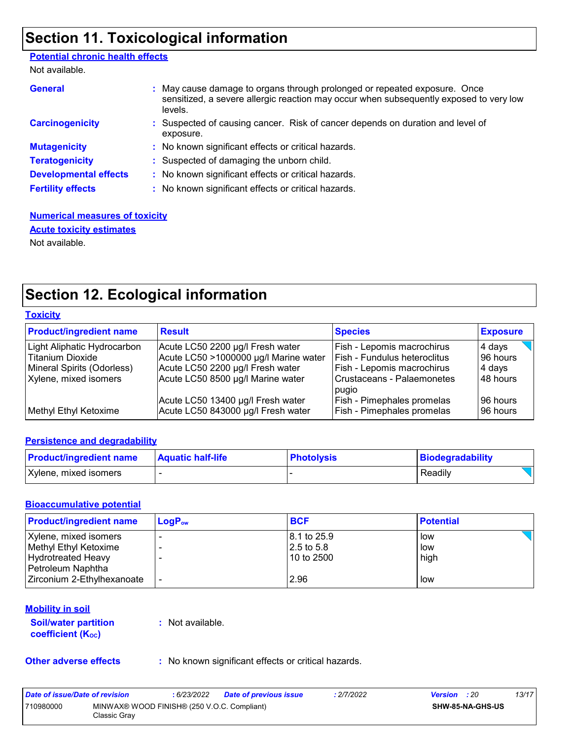### **Section 11. Toxicological information**

#### **Potential chronic health effects**

Not available.

| <b>General</b>               | : May cause damage to organs through prolonged or repeated exposure. Once<br>sensitized, a severe allergic reaction may occur when subsequently exposed to very low<br>levels. |
|------------------------------|--------------------------------------------------------------------------------------------------------------------------------------------------------------------------------|
| <b>Carcinogenicity</b>       | : Suspected of causing cancer. Risk of cancer depends on duration and level of<br>exposure.                                                                                    |
| <b>Mutagenicity</b>          | : No known significant effects or critical hazards.                                                                                                                            |
| <b>Teratogenicity</b>        | : Suspected of damaging the unborn child.                                                                                                                                      |
| <b>Developmental effects</b> | : No known significant effects or critical hazards.                                                                                                                            |
| <b>Fertility effects</b>     | : No known significant effects or critical hazards.                                                                                                                            |

#### **Numerical measures of toxicity Acute toxicity estimates**

Not available.

### **Section 12. Ecological information**

| Toxicitv |
|----------|
|----------|

| <b>Product/ingredient name</b>                                                                                | <b>Result</b>                                                                                                                                      | <b>Species</b>                                                                                                                | <b>Exposure</b>                          |
|---------------------------------------------------------------------------------------------------------------|----------------------------------------------------------------------------------------------------------------------------------------------------|-------------------------------------------------------------------------------------------------------------------------------|------------------------------------------|
| Light Aliphatic Hydrocarbon<br><b>Titanium Dioxide</b><br>Mineral Spirits (Odorless)<br>Xylene, mixed isomers | Acute LC50 2200 µg/l Fresh water<br>Acute LC50 >1000000 µg/l Marine water<br>Acute LC50 2200 µg/l Fresh water<br>Acute LC50 8500 µg/l Marine water | <b>Fish - Lepomis macrochirus</b><br>Fish - Fundulus heteroclitus<br>Fish - Lepomis macrochirus<br>Crustaceans - Palaemonetes | 4 days<br>96 hours<br>4 days<br>48 hours |
| Methyl Ethyl Ketoxime                                                                                         | Acute LC50 13400 µg/l Fresh water<br>Acute LC50 843000 µg/l Fresh water                                                                            | pugio<br><b>Fish - Pimephales promelas</b><br><b>Fish - Pimephales promelas</b>                                               | 96 hours<br>96 hours                     |

#### **Persistence and degradability**

| <b>Product/ingredient name</b> | <b>Aquatic half-life</b> | <b>Photolysis</b> | Biodegradability |
|--------------------------------|--------------------------|-------------------|------------------|
| Xylene, mixed isomers          |                          |                   | Readily          |

#### **Bioaccumulative potential**

| <b>Product/ingredient name</b> | $LogP_{ow}$ | <b>BCF</b>  | <b>Potential</b> |
|--------------------------------|-------------|-------------|------------------|
| Xylene, mixed isomers          |             | 8.1 to 25.9 | low              |
| Methyl Ethyl Ketoxime          |             | 2.5 to 5.8  | low              |
| Hydrotreated Heavy             |             | 10 to 2500  | high             |
| Petroleum Naphtha              |             |             |                  |
| Zirconium 2-Ethylhexanoate     |             | 2.96        | low              |

#### **Mobility in soil**

**Soil/water partition coefficient (KOC)**

**:** Not available.

**Other adverse effects** : No known significant effects or critical hazards.

| Date of issue/Date of revision |                                                             | : 6/23/2022 | <b>Date of previous issue</b> | : 2/7/2022 | <b>Version</b> : 20 |                         | 13/17 |
|--------------------------------|-------------------------------------------------------------|-------------|-------------------------------|------------|---------------------|-------------------------|-------|
| 710980000                      | MINWAX® WOOD FINISH® (250 V.O.C. Compliant)<br>Classic Grav |             |                               |            |                     | <b>SHW-85-NA-GHS-US</b> |       |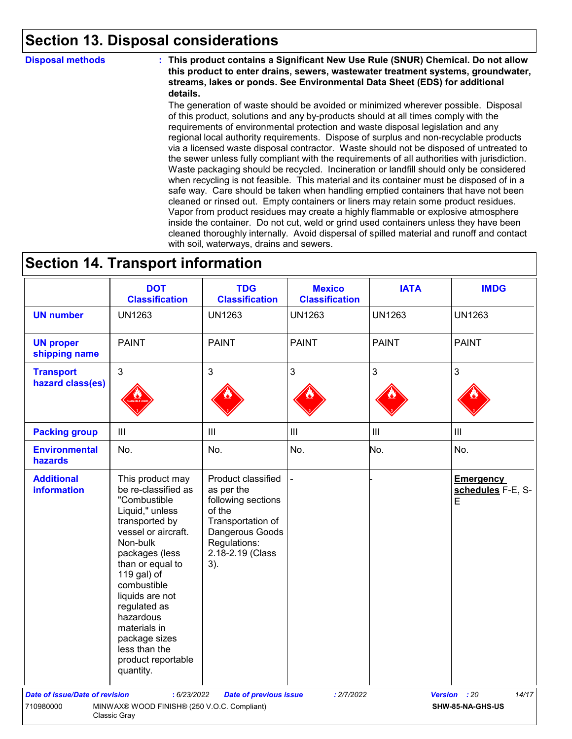### **Section 13. Disposal considerations**

**Disposal methods : This product contains a Significant New Use Rule (SNUR) Chemical. Do not allow this product to enter drains, sewers, wastewater treatment systems, groundwater, streams, lakes or ponds. See Environmental Data Sheet (EDS) for additional details.**

> The generation of waste should be avoided or minimized wherever possible. Disposal of this product, solutions and any by-products should at all times comply with the requirements of environmental protection and waste disposal legislation and any regional local authority requirements. Dispose of surplus and non-recyclable products via a licensed waste disposal contractor. Waste should not be disposed of untreated to the sewer unless fully compliant with the requirements of all authorities with jurisdiction. Waste packaging should be recycled. Incineration or landfill should only be considered when recycling is not feasible. This material and its container must be disposed of in a safe way. Care should be taken when handling emptied containers that have not been cleaned or rinsed out. Empty containers or liners may retain some product residues. Vapor from product residues may create a highly flammable or explosive atmosphere inside the container. Do not cut, weld or grind used containers unless they have been cleaned thoroughly internally. Avoid dispersal of spilled material and runoff and contact with soil, waterways, drains and sewers.

### **Section 14. Transport information**

|                                         | <b>DOT</b><br><b>Classification</b>                                                                                                                                                                                                                                                                                                      | <b>TDG</b><br><b>Classification</b>                                                                                                                 | <b>Mexico</b><br><b>Classification</b> | <b>IATA</b>    | <b>IMDG</b>                                |
|-----------------------------------------|------------------------------------------------------------------------------------------------------------------------------------------------------------------------------------------------------------------------------------------------------------------------------------------------------------------------------------------|-----------------------------------------------------------------------------------------------------------------------------------------------------|----------------------------------------|----------------|--------------------------------------------|
| <b>UN number</b>                        | <b>UN1263</b>                                                                                                                                                                                                                                                                                                                            | <b>UN1263</b>                                                                                                                                       | <b>UN1263</b>                          | <b>UN1263</b>  | <b>UN1263</b>                              |
| <b>UN proper</b><br>shipping name       | <b>PAINT</b>                                                                                                                                                                                                                                                                                                                             | <b>PAINT</b>                                                                                                                                        | <b>PAINT</b>                           | <b>PAINT</b>   | <b>PAINT</b>                               |
| <b>Transport</b><br>hazard class(es)    | $\mathfrak{S}$                                                                                                                                                                                                                                                                                                                           | 3                                                                                                                                                   | $\mathbf{3}$                           | 3              | $\mathbf{3}$                               |
| <b>Packing group</b>                    | $\mathop{\rm III}$                                                                                                                                                                                                                                                                                                                       | $\mathbf{III}$                                                                                                                                      | $\ensuremath{\mathsf{III}}\xspace$     | $\mathbf{III}$ | $\ensuremath{\mathsf{III}}\xspace$         |
| <b>Environmental</b><br>hazards         | No.                                                                                                                                                                                                                                                                                                                                      | No.                                                                                                                                                 | No.                                    | No.            | No.                                        |
| <b>Additional</b><br><b>information</b> | This product may<br>be re-classified as<br>"Combustible<br>Liquid," unless<br>transported by<br>vessel or aircraft.<br>Non-bulk<br>packages (less<br>than or equal to<br>119 gal) of<br>combustible<br>liquids are not<br>regulated as<br>hazardous<br>materials in<br>package sizes<br>less than the<br>product reportable<br>quantity. | Product classified<br>as per the<br>following sections<br>of the<br>Transportation of<br>Dangerous Goods<br>Regulations:<br>2.18-2.19 (Class<br>3). |                                        |                | <b>Emergency</b><br>schedules F-E, S-<br>E |
| <b>Date of issue/Date of revision</b>   | : 6/23/2022                                                                                                                                                                                                                                                                                                                              | <b>Date of previous issue</b>                                                                                                                       | : 2/7/2022                             |                | 14/17<br>Version : 20                      |
| 710980000                               | MINWAX® WOOD FINISH® (250 V.O.C. Compliant)<br>Classic Gray                                                                                                                                                                                                                                                                              |                                                                                                                                                     |                                        |                | SHW-85-NA-GHS-US                           |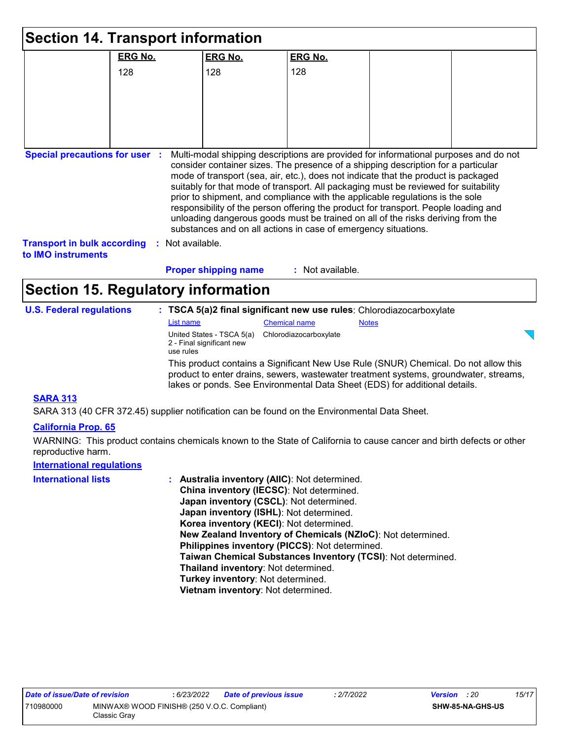| <b>Section 14. Transport information</b>                 |                  |                                                                                  |                                                                                                                                                                     |              |                                                                                                                                                                                                                                                                                                                                                     |
|----------------------------------------------------------|------------------|----------------------------------------------------------------------------------|---------------------------------------------------------------------------------------------------------------------------------------------------------------------|--------------|-----------------------------------------------------------------------------------------------------------------------------------------------------------------------------------------------------------------------------------------------------------------------------------------------------------------------------------------------------|
|                                                          | <b>ERG No.</b>   | <b>ERG No.</b>                                                                   | <b>ERG No.</b>                                                                                                                                                      |              |                                                                                                                                                                                                                                                                                                                                                     |
|                                                          | 128              | 128                                                                              | 128                                                                                                                                                                 |              |                                                                                                                                                                                                                                                                                                                                                     |
|                                                          |                  |                                                                                  |                                                                                                                                                                     |              |                                                                                                                                                                                                                                                                                                                                                     |
|                                                          |                  |                                                                                  |                                                                                                                                                                     |              |                                                                                                                                                                                                                                                                                                                                                     |
|                                                          |                  |                                                                                  |                                                                                                                                                                     |              |                                                                                                                                                                                                                                                                                                                                                     |
|                                                          |                  |                                                                                  |                                                                                                                                                                     |              |                                                                                                                                                                                                                                                                                                                                                     |
| <b>Transport in bulk according</b><br>to IMO instruments | : Not available. | <b>Proper shipping name</b>                                                      | prior to shipment, and compliance with the applicable regulations is the sole<br>substances and on all actions in case of emergency situations.<br>: Not available. |              | mode of transport (sea, air, etc.), does not indicate that the product is packaged<br>suitably for that mode of transport. All packaging must be reviewed for suitability<br>responsibility of the person offering the product for transport. People loading and<br>unloading dangerous goods must be trained on all of the risks deriving from the |
| <b>Section 15. Regulatory information</b>                |                  |                                                                                  |                                                                                                                                                                     |              |                                                                                                                                                                                                                                                                                                                                                     |
| <b>U.S. Federal regulations</b>                          |                  |                                                                                  | : TSCA 5(a)2 final significant new use rules: Chlorodiazocarboxylate                                                                                                |              |                                                                                                                                                                                                                                                                                                                                                     |
|                                                          | List name        |                                                                                  | <b>Chemical name</b>                                                                                                                                                | <b>Notes</b> |                                                                                                                                                                                                                                                                                                                                                     |
|                                                          | use rules        | United States - TSCA 5(a)<br>Chlorodiazocarboxylate<br>2 - Final significant new |                                                                                                                                                                     |              |                                                                                                                                                                                                                                                                                                                                                     |
|                                                          |                  |                                                                                  | lakes or ponds. See Environmental Data Sheet (EDS) for additional details.                                                                                          |              | This product contains a Significant New Use Rule (SNUR) Chemical. Do not allow this<br>product to enter drains, sewers, wastewater treatment systems, groundwater, streams,                                                                                                                                                                         |
| <b>SARA 313</b>                                          |                  |                                                                                  |                                                                                                                                                                     |              |                                                                                                                                                                                                                                                                                                                                                     |

SARA 313 (40 CFR 372.45) supplier notification can be found on the Environmental Data Sheet.

#### **California Prop. 65**

WARNING: This product contains chemicals known to the State of California to cause cancer and birth defects or other reproductive harm.

### **International regulations**

| <b>International lists</b> | : Australia inventory (AIIC): Not determined.                |
|----------------------------|--------------------------------------------------------------|
|                            | China inventory (IECSC): Not determined.                     |
|                            | Japan inventory (CSCL): Not determined.                      |
|                            | Japan inventory (ISHL): Not determined.                      |
|                            | Korea inventory (KECI): Not determined.                      |
|                            | New Zealand Inventory of Chemicals (NZIoC): Not determined.  |
|                            | Philippines inventory (PICCS): Not determined.               |
|                            | Taiwan Chemical Substances Inventory (TCSI): Not determined. |
|                            | Thailand inventory: Not determined.                          |
|                            | Turkey inventory: Not determined.                            |
|                            | Vietnam inventory: Not determined.                           |
|                            |                                                              |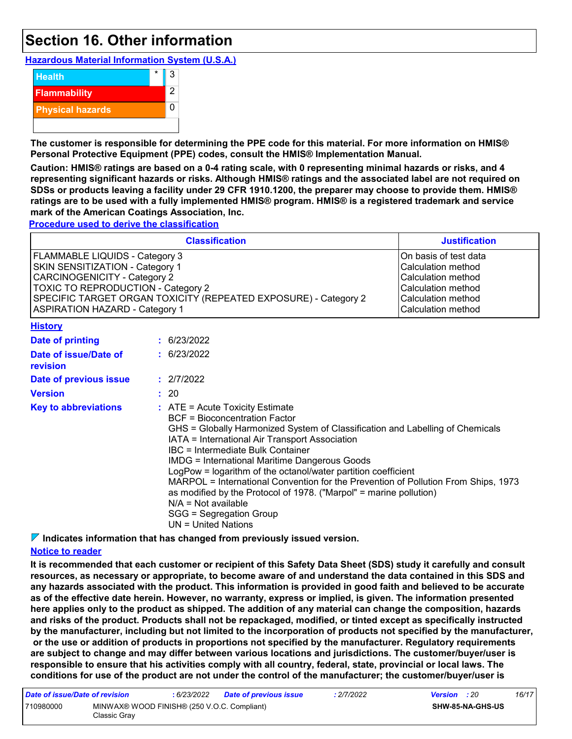### **Section 16. Other information**

**Hazardous Material Information System (U.S.A.)**



**The customer is responsible for determining the PPE code for this material. For more information on HMIS® Personal Protective Equipment (PPE) codes, consult the HMIS® Implementation Manual.**

**Caution: HMIS® ratings are based on a 0-4 rating scale, with 0 representing minimal hazards or risks, and 4 representing significant hazards or risks. Although HMIS® ratings and the associated label are not required on SDSs or products leaving a facility under 29 CFR 1910.1200, the preparer may choose to provide them. HMIS® ratings are to be used with a fully implemented HMIS® program. HMIS® is a registered trademark and service mark of the American Coatings Association, Inc.**

**Procedure used to derive the classification**

|                                                                                                                                                                                                                                                                   | <b>Justification</b>                                                                                                                                                                                                                                                                                                                                                                                                                                                                                                                                                                                         |  |  |
|-------------------------------------------------------------------------------------------------------------------------------------------------------------------------------------------------------------------------------------------------------------------|--------------------------------------------------------------------------------------------------------------------------------------------------------------------------------------------------------------------------------------------------------------------------------------------------------------------------------------------------------------------------------------------------------------------------------------------------------------------------------------------------------------------------------------------------------------------------------------------------------------|--|--|
| FLAMMABLE LIQUIDS - Category 3<br>SKIN SENSITIZATION - Category 1<br><b>CARCINOGENICITY - Category 2</b><br><b>TOXIC TO REPRODUCTION - Category 2</b><br>SPECIFIC TARGET ORGAN TOXICITY (REPEATED EXPOSURE) - Category 2<br><b>ASPIRATION HAZARD - Category 1</b> | On basis of test data<br><b>Calculation method</b><br><b>Calculation method</b><br>Calculation method<br>Calculation method<br>Calculation method                                                                                                                                                                                                                                                                                                                                                                                                                                                            |  |  |
| <b>History</b>                                                                                                                                                                                                                                                    |                                                                                                                                                                                                                                                                                                                                                                                                                                                                                                                                                                                                              |  |  |
| Date of printing                                                                                                                                                                                                                                                  | : 6/23/2022                                                                                                                                                                                                                                                                                                                                                                                                                                                                                                                                                                                                  |  |  |
| Date of issue/Date of<br>revision                                                                                                                                                                                                                                 | : 6/23/2022                                                                                                                                                                                                                                                                                                                                                                                                                                                                                                                                                                                                  |  |  |
| Date of previous issue                                                                                                                                                                                                                                            | : 2/7/2022                                                                                                                                                                                                                                                                                                                                                                                                                                                                                                                                                                                                   |  |  |
| <b>Version</b>                                                                                                                                                                                                                                                    | : 20                                                                                                                                                                                                                                                                                                                                                                                                                                                                                                                                                                                                         |  |  |
| <b>Key to abbreviations</b>                                                                                                                                                                                                                                       | $:$ ATE = Acute Toxicity Estimate<br>BCF = Bioconcentration Factor<br>GHS = Globally Harmonized System of Classification and Labelling of Chemicals<br>IATA = International Air Transport Association<br>IBC = Intermediate Bulk Container<br><b>IMDG = International Maritime Dangerous Goods</b><br>LogPow = logarithm of the octanol/water partition coefficient<br>MARPOL = International Convention for the Prevention of Pollution From Ships, 1973<br>as modified by the Protocol of 1978. ("Marpol" = marine pollution)<br>$N/A = Not available$<br>SGG = Segregation Group<br>$UN = United Nations$ |  |  |

**Indicates information that has changed from previously issued version.**

#### **Notice to reader**

**It is recommended that each customer or recipient of this Safety Data Sheet (SDS) study it carefully and consult resources, as necessary or appropriate, to become aware of and understand the data contained in this SDS and any hazards associated with the product. This information is provided in good faith and believed to be accurate as of the effective date herein. However, no warranty, express or implied, is given. The information presented here applies only to the product as shipped. The addition of any material can change the composition, hazards and risks of the product. Products shall not be repackaged, modified, or tinted except as specifically instructed by the manufacturer, including but not limited to the incorporation of products not specified by the manufacturer, or the use or addition of products in proportions not specified by the manufacturer. Regulatory requirements are subject to change and may differ between various locations and jurisdictions. The customer/buyer/user is responsible to ensure that his activities comply with all country, federal, state, provincial or local laws. The conditions for use of the product are not under the control of the manufacturer; the customer/buyer/user is** 

| Date of issue/Date of revision |                                                             | : 6/23/2022 | <b>Date of previous issue</b> | : 2/7/2022 | <b>Version</b> : 20 |                         | 16/17 |
|--------------------------------|-------------------------------------------------------------|-------------|-------------------------------|------------|---------------------|-------------------------|-------|
| 710980000                      | MINWAX® WOOD FINISH® (250 V.O.C. Compliant)<br>Classic Grav |             |                               |            |                     | <b>SHW-85-NA-GHS-US</b> |       |